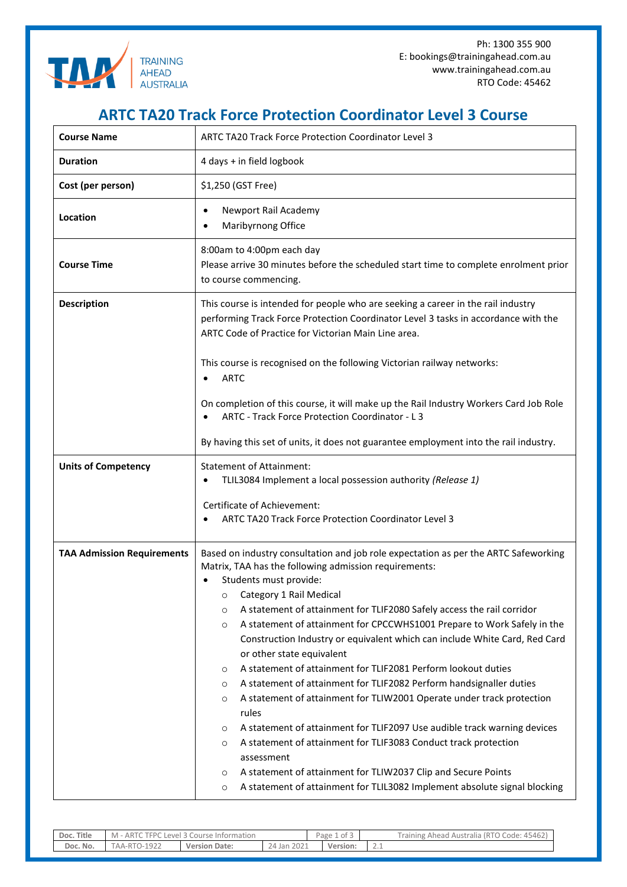

Ph: 1300 355 900 E: bookings@trainingahead.com.au www.trainingahead.com.au RTO Code: 45462

## **ARTC TA20 Track Force Protection Coordinator Level 3 Course**

| <b>Course Name</b>                | <b>ARTC TA20 Track Force Protection Coordinator Level 3</b>                                                                                                                                                                                                                                                                                                                                                                                                                                                                                                                                                                                                                                                                                                                                                                                                                                                                                                                                                                                                                                                          |  |  |  |  |  |  |
|-----------------------------------|----------------------------------------------------------------------------------------------------------------------------------------------------------------------------------------------------------------------------------------------------------------------------------------------------------------------------------------------------------------------------------------------------------------------------------------------------------------------------------------------------------------------------------------------------------------------------------------------------------------------------------------------------------------------------------------------------------------------------------------------------------------------------------------------------------------------------------------------------------------------------------------------------------------------------------------------------------------------------------------------------------------------------------------------------------------------------------------------------------------------|--|--|--|--|--|--|
| <b>Duration</b>                   | 4 days + in field logbook                                                                                                                                                                                                                                                                                                                                                                                                                                                                                                                                                                                                                                                                                                                                                                                                                                                                                                                                                                                                                                                                                            |  |  |  |  |  |  |
| Cost (per person)                 | \$1,250 (GST Free)                                                                                                                                                                                                                                                                                                                                                                                                                                                                                                                                                                                                                                                                                                                                                                                                                                                                                                                                                                                                                                                                                                   |  |  |  |  |  |  |
| Location                          | Newport Rail Academy<br>$\bullet$<br>Maribyrnong Office<br>$\bullet$                                                                                                                                                                                                                                                                                                                                                                                                                                                                                                                                                                                                                                                                                                                                                                                                                                                                                                                                                                                                                                                 |  |  |  |  |  |  |
| <b>Course Time</b>                | 8:00am to 4:00pm each day<br>Please arrive 30 minutes before the scheduled start time to complete enrolment prior<br>to course commencing.                                                                                                                                                                                                                                                                                                                                                                                                                                                                                                                                                                                                                                                                                                                                                                                                                                                                                                                                                                           |  |  |  |  |  |  |
| <b>Description</b>                | This course is intended for people who are seeking a career in the rail industry<br>performing Track Force Protection Coordinator Level 3 tasks in accordance with the<br>ARTC Code of Practice for Victorian Main Line area.                                                                                                                                                                                                                                                                                                                                                                                                                                                                                                                                                                                                                                                                                                                                                                                                                                                                                        |  |  |  |  |  |  |
|                                   | This course is recognised on the following Victorian railway networks:<br><b>ARTC</b>                                                                                                                                                                                                                                                                                                                                                                                                                                                                                                                                                                                                                                                                                                                                                                                                                                                                                                                                                                                                                                |  |  |  |  |  |  |
|                                   | On completion of this course, it will make up the Rail Industry Workers Card Job Role<br>ARTC - Track Force Protection Coordinator - L 3                                                                                                                                                                                                                                                                                                                                                                                                                                                                                                                                                                                                                                                                                                                                                                                                                                                                                                                                                                             |  |  |  |  |  |  |
|                                   | By having this set of units, it does not guarantee employment into the rail industry.                                                                                                                                                                                                                                                                                                                                                                                                                                                                                                                                                                                                                                                                                                                                                                                                                                                                                                                                                                                                                                |  |  |  |  |  |  |
| <b>Units of Competency</b>        | <b>Statement of Attainment:</b><br>TLIL3084 Implement a local possession authority (Release 1)                                                                                                                                                                                                                                                                                                                                                                                                                                                                                                                                                                                                                                                                                                                                                                                                                                                                                                                                                                                                                       |  |  |  |  |  |  |
|                                   | Certificate of Achievement:<br>ARTC TA20 Track Force Protection Coordinator Level 3                                                                                                                                                                                                                                                                                                                                                                                                                                                                                                                                                                                                                                                                                                                                                                                                                                                                                                                                                                                                                                  |  |  |  |  |  |  |
| <b>TAA Admission Requirements</b> | Based on industry consultation and job role expectation as per the ARTC Safeworking<br>Matrix, TAA has the following admission requirements:<br>Students must provide:<br>Category 1 Rail Medical<br>$\circ$<br>A statement of attainment for TLIF2080 Safely access the rail corridor<br>$\circ$<br>A statement of attainment for CPCCWHS1001 Prepare to Work Safely in the<br>$\circ$<br>Construction Industry or equivalent which can include White Card, Red Card<br>or other state equivalent<br>A statement of attainment for TLIF2081 Perform lookout duties<br>$\circ$<br>A statement of attainment for TLIF2082 Perform handsignaller duties<br>$\circ$<br>A statement of attainment for TLIW2001 Operate under track protection<br>$\circ$<br>rules<br>A statement of attainment for TLIF2097 Use audible track warning devices<br>$\circ$<br>A statement of attainment for TLIF3083 Conduct track protection<br>$\circ$<br>assessment<br>A statement of attainment for TLIW2037 Clip and Secure Points<br>$\circ$<br>A statement of attainment for TLIL3082 Implement absolute signal blocking<br>$\circ$ |  |  |  |  |  |  |

| Title<br>Doc. | <b>FPC</b><br>AR <sup>®</sup><br>Level<br>Information<br>Course |                  | Page<br>د of '<br>and a              |  | 45462<br>Code:<br>(RTO<br><b>Training</b><br>Ahead<br>Australia (<br>$\sim$ |              |
|---------------|-----------------------------------------------------------------|------------------|--------------------------------------|--|-----------------------------------------------------------------------------|--------------|
| Doc. No.      | 1922<br>AД.<br>-к<br>$\sim$                                     | Date:<br>Version | 2021<br>$\sim$ $\alpha$<br>Jan<br>24 |  | Version:                                                                    | <u>_ . _</u> |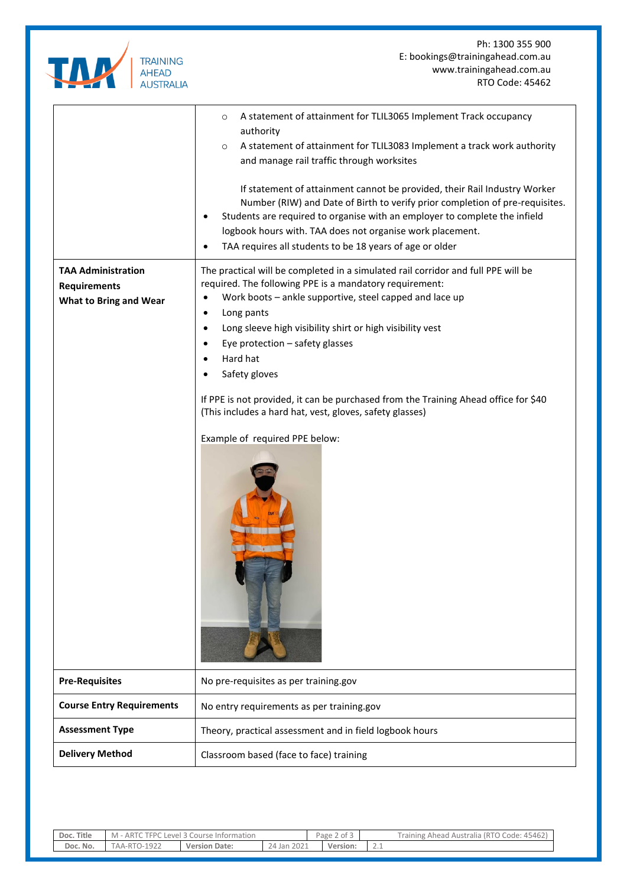

Ph: 1300 355 900 E: bookings@trainingahead.com.au www.trainingahead.com.au RTO Code: 45462

|                                                  | A statement of attainment for TLIL3065 Implement Track occupancy<br>$\circ$                                                                                                                                                                                                                                                                                      |  |  |  |  |  |  |
|--------------------------------------------------|------------------------------------------------------------------------------------------------------------------------------------------------------------------------------------------------------------------------------------------------------------------------------------------------------------------------------------------------------------------|--|--|--|--|--|--|
|                                                  | authority<br>A statement of attainment for TLIL3083 Implement a track work authority<br>$\circ$                                                                                                                                                                                                                                                                  |  |  |  |  |  |  |
|                                                  | and manage rail traffic through worksites                                                                                                                                                                                                                                                                                                                        |  |  |  |  |  |  |
|                                                  | If statement of attainment cannot be provided, their Rail Industry Worker<br>Number (RIW) and Date of Birth to verify prior completion of pre-requisites.<br>Students are required to organise with an employer to complete the infield<br>logbook hours with. TAA does not organise work placement.<br>TAA requires all students to be 18 years of age or older |  |  |  |  |  |  |
| <b>TAA Administration</b><br><b>Requirements</b> | The practical will be completed in a simulated rail corridor and full PPE will be<br>required. The following PPE is a mandatory requirement:                                                                                                                                                                                                                     |  |  |  |  |  |  |
| <b>What to Bring and Wear</b>                    | Work boots - ankle supportive, steel capped and lace up                                                                                                                                                                                                                                                                                                          |  |  |  |  |  |  |
|                                                  | Long pants<br>٠                                                                                                                                                                                                                                                                                                                                                  |  |  |  |  |  |  |
|                                                  | Long sleeve high visibility shirt or high visibility vest                                                                                                                                                                                                                                                                                                        |  |  |  |  |  |  |
|                                                  | Eye protection - safety glasses                                                                                                                                                                                                                                                                                                                                  |  |  |  |  |  |  |
|                                                  | Hard hat                                                                                                                                                                                                                                                                                                                                                         |  |  |  |  |  |  |
|                                                  | Safety gloves                                                                                                                                                                                                                                                                                                                                                    |  |  |  |  |  |  |
|                                                  | If PPE is not provided, it can be purchased from the Training Ahead office for \$40<br>(This includes a hard hat, vest, gloves, safety glasses)<br>Example of required PPE below:                                                                                                                                                                                |  |  |  |  |  |  |
| <b>Pre-Requisites</b>                            | No pre-requisites as per training.gov                                                                                                                                                                                                                                                                                                                            |  |  |  |  |  |  |
| <b>Course Entry Requirements</b>                 | No entry requirements as per training.gov                                                                                                                                                                                                                                                                                                                        |  |  |  |  |  |  |
| <b>Assessment Type</b>                           | Theory, practical assessment and in field logbook hours                                                                                                                                                                                                                                                                                                          |  |  |  |  |  |  |
| <b>Delivery Method</b>                           | Classroom based (face to face) training                                                                                                                                                                                                                                                                                                                          |  |  |  |  |  |  |

| Doc. Title | <b>FPC</b><br>- ARTO<br>C Level 3 Course Information |                  |                | . .<br>Page<br>ot 3<br>$\sim$ |               | Training Ahead Australia (RTO Code: 45462) |
|------------|------------------------------------------------------|------------------|----------------|-------------------------------|---------------|--------------------------------------------|
| Doc. No.   | 1922<br>TAA-RTO-                                     | Version<br>Date: | 2021<br>24 Jan | Version:                      | $\sim\cdot\,$ |                                            |